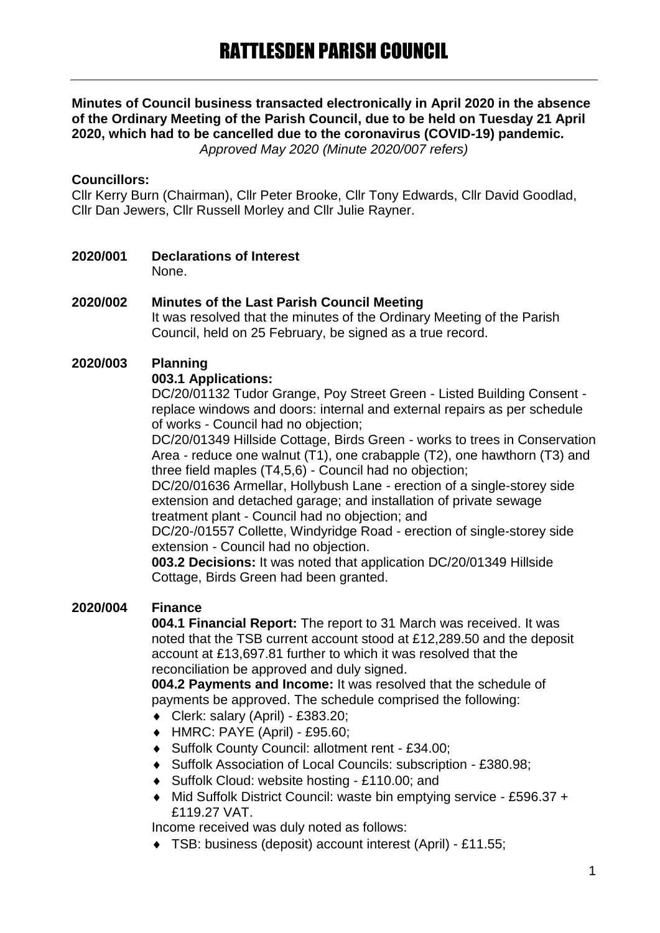# **Minutes of Council business transacted electronically in April 2020 in the absence of the Ordinary Meeting of the Parish Council, due to be held on Tuesday 21 April 2020, which had to be cancelled due to the coronavirus (COVID-19) pandemic.**

*Approved May 2020 (Minute 2020/007 refers)*

### **Councillors:**

Cllr Kerry Burn (Chairman), Cllr Peter Brooke, Cllr Tony Edwards, Cllr David Goodlad, Cllr Dan Jewers, Cllr Russell Morley and Cllr Julie Rayner.

**2020/001 Declarations of Interest** None.

# **2020/002 Minutes of the Last Parish Council Meeting**

It was resolved that the minutes of the Ordinary Meeting of the Parish Council, held on 25 February, be signed as a true record.

### **2020/003 Planning**

### **003.1 Applications:**

DC/20/01132 Tudor Grange, Poy Street Green - Listed Building Consent replace windows and doors: internal and external repairs as per schedule of works - Council had no objection;

DC/20/01349 Hillside Cottage, Birds Green - works to trees in Conservation Area - reduce one walnut (T1), one crabapple (T2), one hawthorn (T3) and three field maples (T4,5,6) - Council had no objection;

DC/20/01636 Armellar, Hollybush Lane - erection of a single-storey side extension and detached garage; and installation of private sewage treatment plant - Council had no objection; and

DC/20-/01557 Collette, Windyridge Road - erection of single-storey side extension - Council had no objection.

**003.2 Decisions:** It was noted that application DC/20/01349 Hillside Cottage, Birds Green had been granted.

### **2020/004 Finance**

**004.1 Financial Report:** The report to 31 March was received. It was noted that the TSB current account stood at £12,289.50 and the deposit account at £13,697.81 further to which it was resolved that the reconciliation be approved and duly signed.

**004.2 Payments and Income:** It was resolved that the schedule of payments be approved. The schedule comprised the following:

- Clerk: salary (April) £383.20;
- HMRC: PAYE (April) £95.60;
- ◆ Suffolk County Council: allotment rent £34.00:
- Suffolk Association of Local Councils: subscription £380.98;
- ◆ Suffolk Cloud: website hosting £110.00; and
- ◆ Mid Suffolk District Council: waste bin emptying service £596.37 + £119.27 VAT.

Income received was duly noted as follows:

TSB: business (deposit) account interest (April) - £11.55;